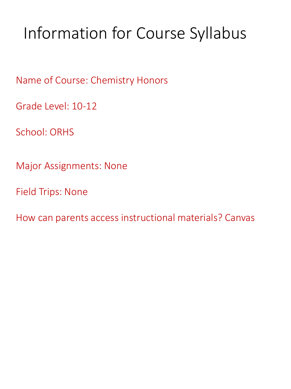# Information for Course Syllabus

Name of Course: Chemistry Honors

Grade Level: 10-12

School: ORHS

Major Assignments: None

Field Trips: None

How can parents access instructional materials? Canvas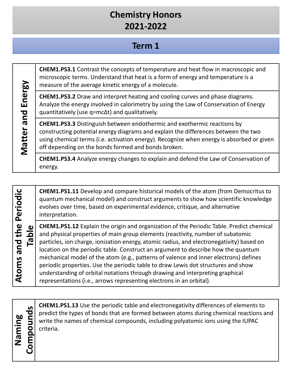#### **Term 1**

**CHEM1.PS3.1** Contrast the concepts of temperature and heat flow in macroscopic and microscopic terms. Understand that heat is a form of energy and temperature is a measure of the average kinetic energy of a molecule.

**CHEM1.PS3.2** Draw and interpret heating and cooling curves and phase diagrams. Analyze the energy involved in calorimetry by using the Law of Conservation of Energy quantitatively (use q=mc∆t) and qualitatively.

**CHEM1.PS3.3** Distinguish between endothermic and exothermic reactions by constructing potential energy diagrams and explain the differences between the two using chemical terms (i.e. activation energy). Recognize when energy is absorbed or given off depending on the bonds formed and bonds broken.

**CHEM1.PS3.4** Analyze energy changes to explain and defend the Law of Conservation of energy.

**CHEM1.PS1.11** Develop and compare historical models of the atom (from Democritus to quantum mechanical model) and construct arguments to show how scientific knowledge evolves over time, based on experimental evidence, critique, and alternative interpretation.

**Table CHEM1.PS1.12** Explain the origin and organization of the Periodic Table. Predict chemical and physical properties of main group elements (reactivity, number of subatomic particles, ion charge, ionization energy, atomic radius, and electronegativity) based on location on the periodic table. Construct an argument to describe how the quantum mechanical model of the atom (e.g., patterns of valence and inner electrons) defines periodic properties. Use the periodic table to draw Lewis dot structures and show understanding of orbital notations through drawing and interpreting graphical representations (i.e., arrows representing electrons in an orbital).

**Naming** 

**Atoms and the Periodic** 

Atoms and the Periodic

**Matter and Energy**

Matter and Energy

**CHEM1.PS1.13** Use the periodic table and electronegativity differences of elements to<br>predict the types of bonds that are formed between atoms during chemical reactions a<br>write the names of chemical compounds, including p predict the types of bonds that are formed between atoms during chemical reactions and write the names of chemical compounds, including polyatomic ions using the IUPAC criteria.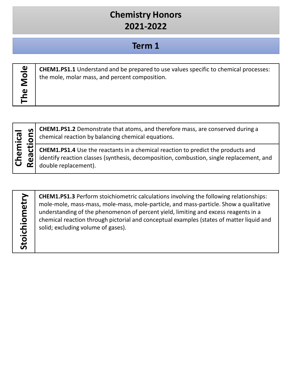#### **Term 1**

| ω |  |
|---|--|
| ۰ |  |
| e |  |
|   |  |
| ω |  |
| ь |  |

**CHEM1.PS1.1** Understand and be prepared to use values specific to chemical processes: the mole, molar mass, and percent composition.



chemical reaction by balancing chemical equations.

**Remarks CHEM1.PS1.2** Demonstrate that atoms, and therefore mass, are conserved during a<br>chemical reaction by balancing chemical equations.<br>**CHEM1.PS1.4** Use the reactants in a chemical reaction to predict the products and **CHEM1.PS1.4** Use the reactants in a chemical reaction to predict the products and identify reaction classes (synthesis, decomposition, combustion, single replacement, and double replacement).

| š      |
|--------|
|        |
| ധ      |
| ۶      |
|        |
| С<br>١ |
|        |
|        |
| t<br>۱ |
|        |
|        |
| ı<br>D |
| L      |

**CHEM1.PS1.3** Perform stoichiometric calculations involving the following relationships: mole-mole, mass-mass, mole-mass, mole-particle, and mass-particle. Show a qualitative understanding of the phenomenon of percent yield, limiting and excess reagents in a chemical reaction through pictorial and conceptual examples (states of matter liquid and solid; excluding volume of gases).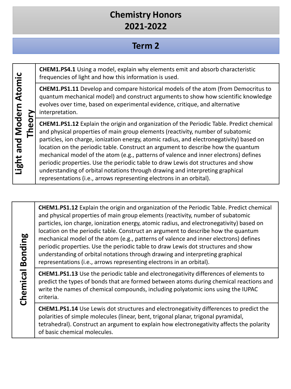#### **Term 2**

**CHEM1.PS4.1** Using a model, explain why elements emit and absorb characteristic frequencies of light and how this information is used.

**CHEM1.PS1.11** Develop and compare historical models of the atom (from Democritus to quantum mechanical model) and construct arguments to show how scientific knowledge evolves over time, based on experimental evidence, critique, and alternative interpretation.

**CHEM1.PS1.12** Explain the origin and organization of the Periodic Table. Predict chemical and physical properties of main group elements (reactivity, number of subatomic particles, ion charge, ionization energy, atomic radius, and electronegativity) based on location on the periodic table. Construct an argument to describe how the quantum mechanical model of the atom (e.g., patterns of valence and inner electrons) defines periodic properties. Use the periodic table to draw Lewis dot structures and show understanding of orbital notations through drawing and interpreting graphical representations (i.e., arrows representing electrons in an orbital).

# **Chemical Bonding Chemical Bonding**

**CHEM1.PS1.12** Explain the origin and organization of the Periodic Table. Predict chemical and physical properties of main group elements (reactivity, number of subatomic particles, ion charge, ionization energy, atomic radius, and electronegativity) based on location on the periodic table. Construct an argument to describe how the quantum mechanical model of the atom (e.g., patterns of valence and inner electrons) defines periodic properties. Use the periodic table to draw Lewis dot structures and show understanding of orbital notations through drawing and interpreting graphical representations (i.e., arrows representing electrons in an orbital).

**CHEM1.PS1.13** Use the periodic table and electronegativity differences of elements to predict the types of bonds that are formed between atoms during chemical reactions and write the names of chemical compounds, including polyatomic ions using the IUPAC criteria.

**CHEM1.PS1.14** Use Lewis dot structures and electronegativity differences to predict the polarities of simple molecules (linear, bent, trigonal planar, trigonal pyramidal, tetrahedral). Construct an argument to explain how electronegativity affects the polarity of basic chemical molecules.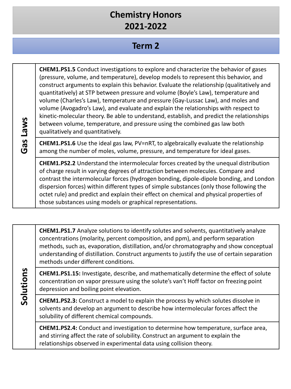#### **Term 2**

| <b>Laws</b><br>SD.<br>Ó | <b>CHEM1.PS1.5</b> Conduct investigations to explore and characterize the behavior of gases<br>(pressure, volume, and temperature), develop models to represent this behavior, and<br>construct arguments to explain this behavior. Evaluate the relationship (qualitatively and<br>quantitatively) at STP between pressure and volume (Boyle's Law), temperature and<br>volume (Charles's Law), temperature and pressure (Gay-Lussac Law), and moles and<br>volume (Avogadro's Law), and evaluate and explain the relationships with respect to<br>kinetic-molecular theory. Be able to understand, establish, and predict the relationships<br>between volume, temperature, and pressure using the combined gas law both<br>qualitatively and quantitatively. |
|-------------------------|-----------------------------------------------------------------------------------------------------------------------------------------------------------------------------------------------------------------------------------------------------------------------------------------------------------------------------------------------------------------------------------------------------------------------------------------------------------------------------------------------------------------------------------------------------------------------------------------------------------------------------------------------------------------------------------------------------------------------------------------------------------------|
|                         | <b>CHEM1.PS1.6</b> Use the ideal gas law, PV=nRT, to algebraically evaluate the relationship<br>among the number of moles, volume, pressure, and temperature for ideal gases.                                                                                                                                                                                                                                                                                                                                                                                                                                                                                                                                                                                   |
|                         | <b>CHEM1.PS2.2</b> Understand the intermolecular forces created by the unequal distribution<br>of charge result in varying degrees of attraction between molecules. Compare and<br>contrast the intermolecular forces (hydrogen bonding, dipole-dipole bonding, and London<br>dispersion forces) within different types of simple substances (only those following the<br>octet rule) and predict and explain their effect on chemical and physical properties of<br>those substances using models or graphical representations.                                                                                                                                                                                                                                |

**CHEM1.PS1.7** Analyze solutions to identify solutes and solvents, quantitatively analyze concentrations (molarity, percent composition, and ppm), and perform separation methods, such as, evaporation, distillation, and/or chromatography and show conceptual understanding of distillation. Construct arguments to justify the use of certain separation methods under different conditions.

**CHEM1.PS1.15:** Investigate, describe, and mathematically determine the effect of solute concentration on vapor pressure using the solute's van't Hoff factor on freezing point depression and boiling point elevation.

**CHEM1.PS2.3:** Construct a model to explain the process by which solutes dissolve in solvents and develop an argument to describe how intermolecular forces affect the solubility of different chemical compounds.

**Solutions**

Solutions

**CHEM1.PS2.4:** Conduct and investigation to determine how temperature, surface area, and stirring affect the rate of solubility. Construct an argument to explain the relationships observed in experimental data using collision theory.